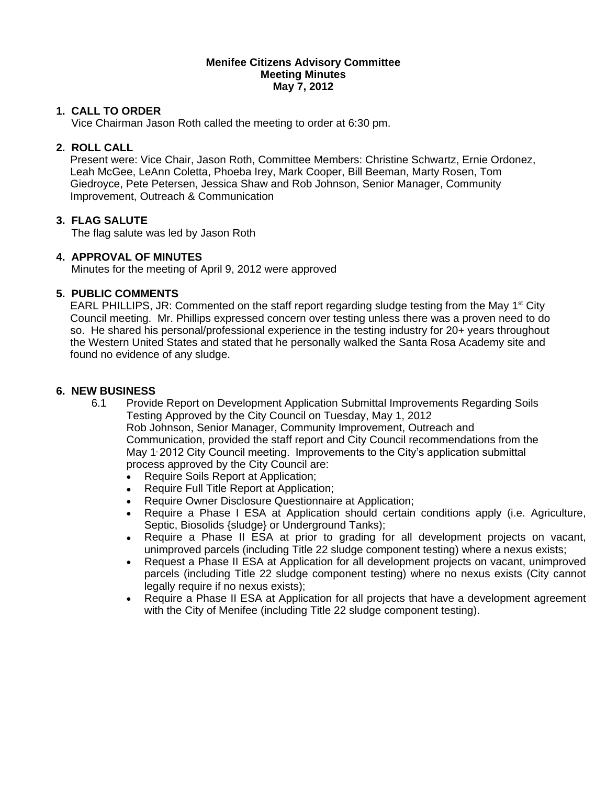#### **Menifee Citizens Advisory Committee Meeting Minutes May 7, 2012**

# **1. CALL TO ORDER**

Vice Chairman Jason Roth called the meeting to order at 6:30 pm.

# **2. ROLL CALL**

Present were: Vice Chair, Jason Roth, Committee Members: Christine Schwartz, Ernie Ordonez, Leah McGee, LeAnn Coletta, Phoeba Irey, Mark Cooper, Bill Beeman, Marty Rosen, Tom Giedroyce, Pete Petersen, Jessica Shaw and Rob Johnson, Senior Manager, Community Improvement, Outreach & Communication

## **3. FLAG SALUTE**

The flag salute was led by Jason Roth

## **4. APPROVAL OF MINUTES**

Minutes for the meeting of April 9, 2012 were approved

## **5. PUBLIC COMMENTS**

EARL PHILLIPS, JR: Commented on the staff report regarding sludge testing from the May 1<sup>st</sup> City Council meeting. Mr. Phillips expressed concern over testing unless there was a proven need to do so. He shared his personal/professional experience in the testing industry for 20+ years throughout the Western United States and stated that he personally walked the Santa Rosa Academy site and found no evidence of any sludge.

#### **6. NEW BUSINESS**

- 6.1 Provide Report on Development Application Submittal Improvements Regarding Soils Testing Approved by the City Council on Tuesday, May 1, 2012 Rob Johnson, Senior Manager, Community Improvement, Outreach and Communication, provided the staff report and City Council recommendations from the May 1: 2012 City Council meeting. Improvements to the City's application submittal process approved by the City Council are:
	- Require Soils Report at Application;
	- Require Full Title Report at Application;
	- Require Owner Disclosure Questionnaire at Application;
	- Require a Phase I ESA at Application should certain conditions apply (i.e. Agriculture, Septic, Biosolids {sludge} or Underground Tanks);
	- Require a Phase II ESA at prior to grading for all development projects on vacant, unimproved parcels (including Title 22 sludge component testing) where a nexus exists;
	- Request a Phase II ESA at Application for all development projects on vacant, unimproved parcels (including Title 22 sludge component testing) where no nexus exists (City cannot legally require if no nexus exists);
	- Require a Phase II ESA at Application for all projects that have a development agreement with the City of Menifee (including Title 22 sludge component testing).